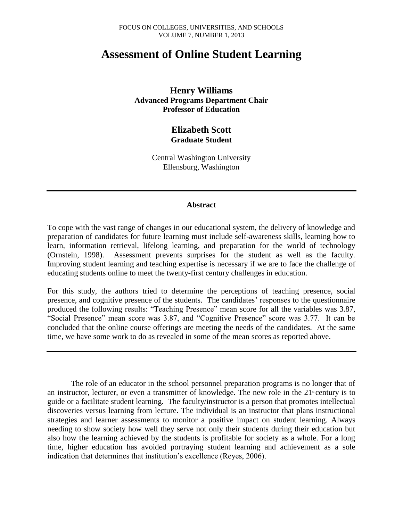# **Assessment of Online Student Learning**

**Henry Williams Advanced Programs Department Chair Professor of Education**

## **Elizabeth Scott Graduate Student**

Central Washington University Ellensburg, Washington

#### **Abstract**

To cope with the vast range of changes in our educational system, the delivery of knowledge and preparation of candidates for future learning must include self-awareness skills, learning how to learn, information retrieval, lifelong learning, and preparation for the world of technology (Ornstein, 1998). Assessment prevents surprises for the student as well as the faculty. Improving student learning and teaching expertise is necessary if we are to face the challenge of educating students online to meet the twenty-first century challenges in education.

For this study, the authors tried to determine the perceptions of teaching presence, social presence, and cognitive presence of the students. The candidates' responses to the questionnaire produced the following results: "Teaching Presence" mean score for all the variables was 3.87, "Social Presence" mean score was 3.87, and "Cognitive Presence" score was 3.77. It can be concluded that the online course offerings are meeting the needs of the candidates. At the same time, we have some work to do as revealed in some of the mean scores as reported above.

The role of an educator in the school personnel preparation programs is no longer that of an instructor, lecturer, or even a transmitter of knowledge. The new role in the  $21^{\circ}$  century is to guide or a facilitate student learning. The faculty/instructor is a person that promotes intellectual discoveries versus learning from lecture. The individual is an instructor that plans instructional strategies and learner assessments to monitor a positive impact on student learning. Always needing to show society how well they serve not only their students during their education but also how the learning achieved by the students is profitable for society as a whole. For a long time, higher education has avoided portraying student learning and achievement as a sole indication that determines that institution's excellence (Reyes, 2006).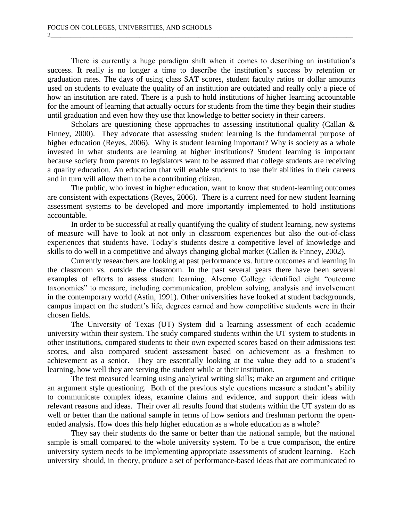There is currently a huge paradigm shift when it comes to describing an institution's success. It really is no longer a time to describe the institution's success by retention or graduation rates. The days of using class SAT scores, student faculty ratios or dollar amounts used on students to evaluate the quality of an institution are outdated and really only a piece of how an institution are rated. There is a push to hold institutions of higher learning accountable for the amount of learning that actually occurs for students from the time they begin their studies until graduation and even how they use that knowledge to better society in their careers.

2\_\_\_\_\_\_\_\_\_\_\_\_\_\_\_\_\_\_\_\_\_\_\_\_\_\_\_\_\_\_\_\_\_\_\_\_\_\_\_\_\_\_\_\_\_\_\_\_\_\_\_\_\_\_\_\_\_\_\_\_\_\_\_\_\_\_\_\_\_\_\_\_\_\_\_\_\_\_\_\_\_\_\_\_\_\_\_\_\_\_\_\_

Scholars are questioning these approaches to assessing institutional quality (Callan & Finney, 2000). They advocate that assessing student learning is the fundamental purpose of higher education (Reyes, 2006). Why is student learning important? Why is society as a whole invested in what students are learning at higher institutions? Student learning is important because society from parents to legislators want to be assured that college students are receiving a quality education. An education that will enable students to use their abilities in their careers and in turn will allow them to be a contributing citizen.

The public, who invest in higher education, want to know that student-learning outcomes are consistent with expectations (Reyes, 2006). There is a current need for new student learning assessment systems to be developed and more importantly implemented to hold institutions accountable.

In order to be successful at really quantifying the quality of student learning, new systems of measure will have to look at not only in classroom experiences but also the out-of-class experiences that students have. Today's students desire a competitive level of knowledge and skills to do well in a competitive and always changing global market (Callen & Finney, 2002).

Currently researchers are looking at past performance vs. future outcomes and learning in the classroom vs. outside the classroom. In the past several years there have been several examples of efforts to assess student learning. Alverno College identified eight "outcome taxonomies" to measure, including communication, problem solving, analysis and involvement in the contemporary world (Astin, 1991). Other universities have looked at student backgrounds, campus impact on the student's life, degrees earned and how competitive students were in their chosen fields.

The University of Texas (UT) System did a learning assessment of each academic university within their system. The study compared students within the UT system to students in other institutions, compared students to their own expected scores based on their admissions test scores, and also compared student assessment based on achievement as a freshmen to achievement as a senior. They are essentially looking at the value they add to a student's learning, how well they are serving the student while at their institution.

The test measured learning using analytical writing skills; make an argument and critique an argument style questioning. Both of the previous style questions measure a student's ability to communicate complex ideas, examine claims and evidence, and support their ideas with relevant reasons and ideas. Their over all results found that students within the UT system do as well or better than the national sample in terms of how seniors and freshman perform the openended analysis. How does this help higher education as a whole education as a whole?

They say their students do the same or better than the national sample, but the national sample is small compared to the whole university system. To be a true comparison, the entire university system needs to be implementing appropriate assessments of student learning. Each university should, in theory, produce a set of performance-based ideas that are communicated to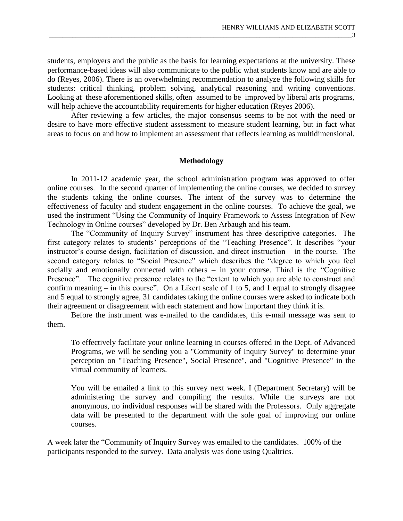students, employers and the public as the basis for learning expectations at the university. These performance-based ideas will also communicate to the public what students know and are able to do (Reyes, 2006). There is an overwhelming recommendation to analyze the following skills for students: critical thinking, problem solving, analytical reasoning and writing conventions. Looking at these aforementioned skills, often assumed to be improved by liberal arts programs, will help achieve the accountability requirements for higher education (Reyes 2006).

After reviewing a few articles, the major consensus seems to be not with the need or desire to have more effective student assessment to measure student learning, but in fact what areas to focus on and how to implement an assessment that reflects learning as multidimensional.

#### **Methodology**

In 2011-12 academic year, the school administration program was approved to offer online courses. In the second quarter of implementing the online courses, we decided to survey the students taking the online courses. The intent of the survey was to determine the effectiveness of faculty and student engagement in the online courses. To achieve the goal, we used the instrument "Using the Community of Inquiry Framework to Assess Integration of New Technology in Online courses" developed by Dr. Ben Arbaugh and his team.

The "Community of Inquiry Survey" instrument has three descriptive categories. The first category relates to students' perceptions of the "Teaching Presence". It describes "your instructor's course design, facilitation of discussion, and direct instruction – in the course. The second category relates to "Social Presence" which describes the "degree to which you feel socially and emotionally connected with others – in your course. Third is the "Cognitive Presence". The cognitive presence relates to the "extent to which you are able to construct and confirm meaning – in this course". On a Likert scale of 1 to 5, and 1 equal to strongly disagree and 5 equal to strongly agree, 31 candidates taking the online courses were asked to indicate both their agreement or disagreement with each statement and how important they think it is.

Before the instrument was e-mailed to the candidates, this e-mail message was sent to them.

To effectively facilitate your online learning in courses offered in the Dept. of Advanced Programs, we will be sending you a "Community of Inquiry Survey" to determine your perception on "Teaching Presence", Social Presence", and "Cognitive Presence" in the virtual community of learners.

You will be emailed a link to this survey next week. I (Department Secretary) will be administering the survey and compiling the results. While the surveys are not anonymous, no individual responses will be shared with the Professors. Only aggregate data will be presented to the department with the sole goal of improving our online courses.

A week later the "Community of Inquiry Survey was emailed to the candidates. 100% of the participants responded to the survey. Data analysis was done using Qualtrics.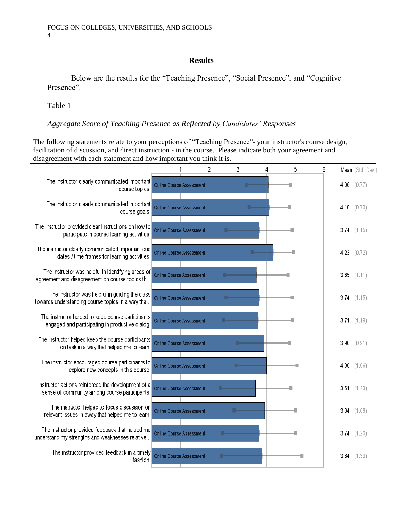### **Results**

4\_\_\_\_\_\_\_\_\_\_\_\_\_\_\_\_\_\_\_\_\_\_\_\_\_\_\_\_\_\_\_\_\_\_\_\_\_\_\_\_\_\_\_\_\_\_\_\_\_\_\_\_\_\_\_\_\_\_\_\_\_\_\_\_\_\_\_\_\_\_\_\_\_\_\_\_\_\_\_\_\_\_\_\_\_\_\_\_\_\_\_\_

Below are the results for the "Teaching Presence", "Social Presence", and "Cognitive Presence".

Table 1

### *Aggregate Score of Teaching Presence as Reflected by Candidates' Responses*

The following statements relate to your perceptions of "Teaching Presence"- your instructor's course design, facilitation of discussion, and direct instruction - in the course. Please indicate both your agreement and disagreement with each statement and how important you think it is. $\mathbf{1}$  $\mathfrak{D}$ 3 4 5 6 Mean (Std. Dev. The instructor clearly communicated important Online Course Assessment 4.06  $(0.77)$ course topics. The instructor clearly communicated important Online Course Assessment 4.10  $(0.70)$ course goals. The instructor provided clear instructions on how to Online Course Assessment 3.74  $(1.15)$ participate in course learning activities. The instructor clearly communicated important due Online Course Assessment 4.23  $(0.72)$ dates / time frames for learning activities. The instructor was helpful in identifying areas of Online Course Assessment  $3.65$   $(1.11)$ agreement and disagreement on course topics th... The instructor was helpful in guiding the class Online Course Assessment 3.74  $(1.15)$ towards understanding course topics in a way tha... The instructor helped to keep course participants Online Course Assessment  $3.71(1.19)$ engaged and participating in productive dialog. The instructor helped keep the course participants Online Course Assessment  $3.90 (0.91)$ on task in a way that helped me to learn. The instructor encouraged course participants to Online Course Assessment  $4.00$   $(1.06)$ explore new concepts in this course. Instructor actions reinforced the development of a Online Course Assessment  $3.61$   $(1.23)$ sense of community among course participants. The instructor helped to focus discussion on Online Course Assessment  $3.94$   $(1.06)$ relevant issues in away that helped me to learn. The instructor provided feedback that helped me Online Course Assessment 3.74  $(1.26)$ understand my strengths and weaknesses relative... The instructor provided feedback in a timely Online Course Assessment  $3.84$   $(1.39)$ fashion.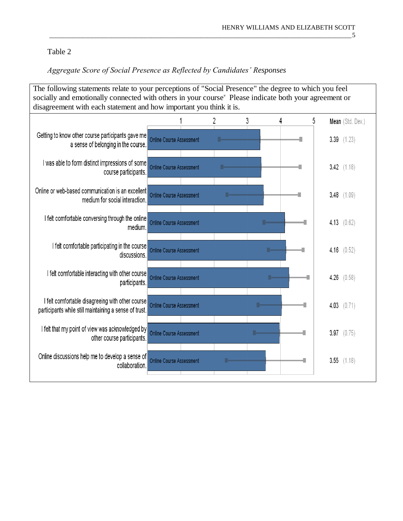# Table 2

# *Aggregate Score of Social Presence as Reflected by Candidates' Responses*

| The following statements relate to your perceptions of "Social Presence" the degree to which you feel<br>socially and emotionally connected with others in your course" Please indicate both your agreement or<br>disagreement with each statement and how important you think it is. |                                 |  |   |   |   |   |                  |  |  |  |  |
|---------------------------------------------------------------------------------------------------------------------------------------------------------------------------------------------------------------------------------------------------------------------------------------|---------------------------------|--|---|---|---|---|------------------|--|--|--|--|
|                                                                                                                                                                                                                                                                                       |                                 |  | 2 | 3 | 4 | 5 | Mean (Std. Dev.) |  |  |  |  |
| Getting to know other course participants gave me<br>a sense of belonging in the course.                                                                                                                                                                                              | <b>Online Course Assessment</b> |  |   |   |   |   | $3.39$ $(1.23)$  |  |  |  |  |
| I was able to form distinct impressions of some<br>course participants.                                                                                                                                                                                                               | <b>Online Course Assessment</b> |  |   |   |   |   | 3.42 $(1.18)$    |  |  |  |  |
| Online or web-based communication is an excellent<br>medium for social interaction.                                                                                                                                                                                                   | <b>Online Course Assessment</b> |  |   |   |   |   | $3.48$ $(1.09)$  |  |  |  |  |
| I felt comfortable conversing through the online<br>medium.                                                                                                                                                                                                                           | <b>Online Course Assessment</b> |  |   |   |   |   | 4.13 $(0.62)$    |  |  |  |  |
| I felt comfortable participating in the course<br>discussions.                                                                                                                                                                                                                        | <b>Online Course Assessment</b> |  |   |   |   |   | 4.16 $(0.52)$    |  |  |  |  |
| I felt comfortable interacting with other course<br>participants.                                                                                                                                                                                                                     | <b>Online Course Assessment</b> |  |   |   |   |   | 4.26<br>(0.58)   |  |  |  |  |
| I felt comfortable disagreeing with other course<br>participants while still maintaining a sense of trust.                                                                                                                                                                            | <b>Online Course Assessment</b> |  |   |   |   |   | 4.03 $(0.71)$    |  |  |  |  |
| I felt that my point of view was acknowledged by<br>other course participants.                                                                                                                                                                                                        | <b>Online Course Assessment</b> |  |   |   |   |   | 3.97 (0.75)      |  |  |  |  |
| Online discussions help me to develop a sense of<br>collaboration.                                                                                                                                                                                                                    | <b>Online Course Assessment</b> |  |   |   |   |   | 3.55<br>(1.18)   |  |  |  |  |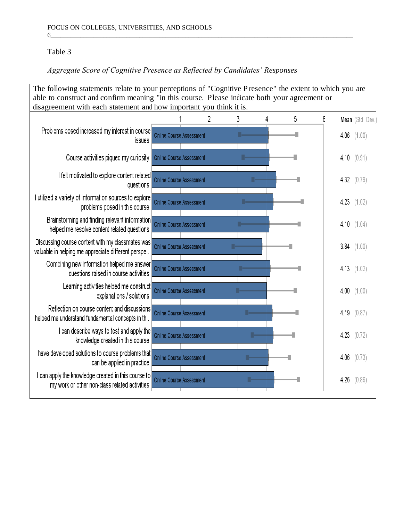## Table 3

# *Aggregate Score of Cognitive Presence as Reflected by Candidates' Responses*

| The following statements relate to your perceptions of "Cognitive Presence" the extent to which you are<br>able to construct and confirm meaning "in this course. Please indicate both your agreement or<br>disagreement with each statement and how important you think it is. |                                 |  |   |  |   |   |      |                 |  |  |
|---------------------------------------------------------------------------------------------------------------------------------------------------------------------------------------------------------------------------------------------------------------------------------|---------------------------------|--|---|--|---|---|------|-----------------|--|--|
|                                                                                                                                                                                                                                                                                 |                                 |  |   |  |   |   |      |                 |  |  |
|                                                                                                                                                                                                                                                                                 |                                 |  | 3 |  | 5 | 6 |      | Mean (Std. Dev. |  |  |
| Problems posed increased my interest in course<br>issues.                                                                                                                                                                                                                       | <b>Online Course Assessment</b> |  |   |  |   |   |      | 4.06 $(1.00)$   |  |  |
| Course activities piqued my curiosity.                                                                                                                                                                                                                                          | <b>Online Course Assessment</b> |  |   |  |   |   |      | 4.10 $(0.91)$   |  |  |
| I felt motivated to explore content related<br>questions.                                                                                                                                                                                                                       | Online Course Assessment        |  |   |  |   |   |      | 4.32 $(0.79)$   |  |  |
| I utilized a variety of information sources to explore<br>problems posed in this course.                                                                                                                                                                                        | <b>Online Course Assessment</b> |  |   |  |   |   |      | 4.23 $(1.02)$   |  |  |
| Brainstorming and finding relevant information<br>helped me resolve content related questions.                                                                                                                                                                                  | <b>Online Course Assessment</b> |  |   |  |   |   |      | 4.10 $(1.04)$   |  |  |
| Discussing course content with my classmates was<br>valuable in helping me appreciate different perspe                                                                                                                                                                          | <b>Online Course Assessment</b> |  |   |  |   |   |      | 3.84 $(1.00)$   |  |  |
| Combining new information helped me answer<br>questions raised in course activities.                                                                                                                                                                                            | <b>Online Course Assessment</b> |  |   |  |   |   |      | 4.13 $(1.02)$   |  |  |
| Learning activities helped me construct<br>explanations / solutions.                                                                                                                                                                                                            | <b>Online Course Assessment</b> |  |   |  |   |   |      | 4.00 $(1.00)$   |  |  |
| Reflection on course content and discussions<br>helped me understand fundamental concepts in th                                                                                                                                                                                 | <b>Online Course Assessment</b> |  |   |  |   |   |      | 4.19 $(0.87)$   |  |  |
| I can describe ways to test and apply the<br>knowledge created in this course.                                                                                                                                                                                                  | <b>Online Course Assessment</b> |  |   |  |   |   | 4.23 | (0.72)          |  |  |
| I have developed solutions to course problems that<br>can be applied in practice.                                                                                                                                                                                               | <b>Online Course Assessment</b> |  |   |  |   |   | 4.06 | (0.73)          |  |  |
| I can apply the knowledge created in this course to<br>my work or other non-class related activities.                                                                                                                                                                           | <b>Online Course Assessment</b> |  |   |  |   |   | 4.26 | (0.86)          |  |  |